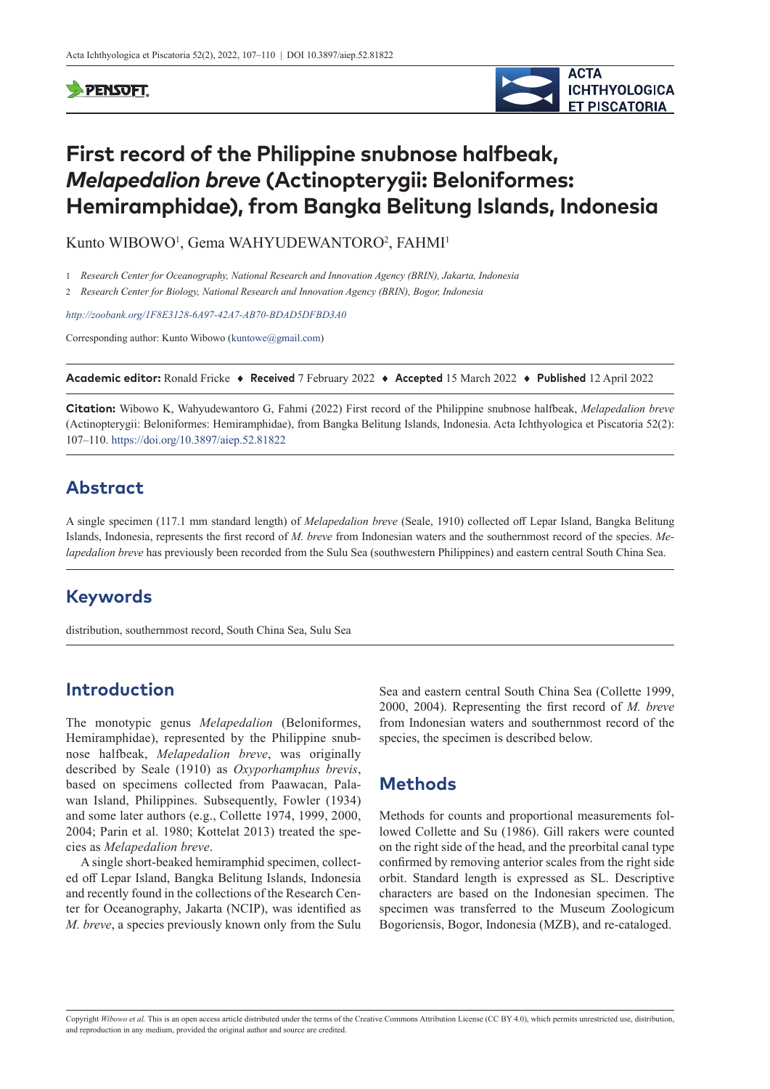#### **PENSOFT**



# **First record of the Philippine snubnose halfbeak,**  *Melapedalion breve* **(Actinopterygii: Beloniformes: Hemiramphidae), from Bangka Belitung Islands, Indonesia**

Kunto WIBOWO<sup>1</sup>, Gema WAHYUDEWANTORO<sup>2</sup>, FAHMI<sup>1</sup>

1 *Research Center for Oceanography, National Research and Innovation Agency (BRIN), Jakarta, Indonesia*

2 *Research Center for Biology, National Research and Innovation Agency (BRIN), Bogor, Indonesia*

*<http://zoobank.org/1F8E3128-6A97-42A7-AB70-BDAD5DFBD3A0>*

Corresponding author: Kunto Wibowo ([kuntowe@gmail.com\)](mailto:kuntowe@gmail.com)

**Academic editor:** Ronald Fricke ♦ **Received** 7 February 2022 ♦ **Accepted** 15 March 2022 ♦ **Published** 12 April 2022

**Citation:** Wibowo K, Wahyudewantoro G, Fahmi (2022) First record of the Philippine snubnose halfbeak, *Melapedalion breve* (Actinopterygii: Beloniformes: Hemiramphidae), from Bangka Belitung Islands, Indonesia. Acta Ichthyologica et Piscatoria 52(2): 107–110.<https://doi.org/10.3897/aiep.52.81822>

#### **Abstract**

A single specimen (117.1 mm standard length) of *Melapedalion breve* (Seale, 1910) collected off Lepar Island, Bangka Belitung Islands, Indonesia, represents the first record of *M. breve* from Indonesian waters and the southernmost record of the species. *Melapedalion breve* has previously been recorded from the Sulu Sea (southwestern Philippines) and eastern central South China Sea.

#### **Keywords**

distribution, southernmost record, South China Sea, Sulu Sea

## **Introduction**

The monotypic genus *Melapedalion* (Beloniformes, Hemiramphidae), represented by the Philippine snubnose halfbeak, *Melapedalion breve*, was originally described by Seale (1910) as *Oxyporhamphus brevis*, based on specimens collected from Paawacan, Palawan Island, Philippines. Subsequently, Fowler (1934) and some later authors (e.g., Collette 1974, 1999, 2000, 2004; Parin et al. 1980; Kottelat 2013) treated the species as *Melapedalion breve*.

A single short-beaked hemiramphid specimen, collected off Lepar Island, Bangka Belitung Islands, Indonesia and recently found in the collections of the Research Center for Oceanography, Jakarta (NCIP), was identified as *M. breve*, a species previously known only from the Sulu

Sea and eastern central South China Sea (Collette 1999, 2000, 2004). Representing the first record of *M. breve* from Indonesian waters and southernmost record of the species, the specimen is described below.

#### **Methods**

Methods for counts and proportional measurements followed Collette and Su (1986). Gill rakers were counted on the right side of the head, and the preorbital canal type confirmed by removing anterior scales from the right side orbit. Standard length is expressed as SL. Descriptive characters are based on the Indonesian specimen. The specimen was transferred to the Museum Zoologicum Bogoriensis, Bogor, Indonesia (MZB), and re-cataloged.

Copyright *Wibowo et al.* This is an open access article distributed under the terms of the [Creative Commons Attribution License \(CC BY 4.0\)](http://creativecommons.org/licenses/by/4.0/), which permits unrestricted use, distribution, and reproduction in any medium, provided the original author and source are credited.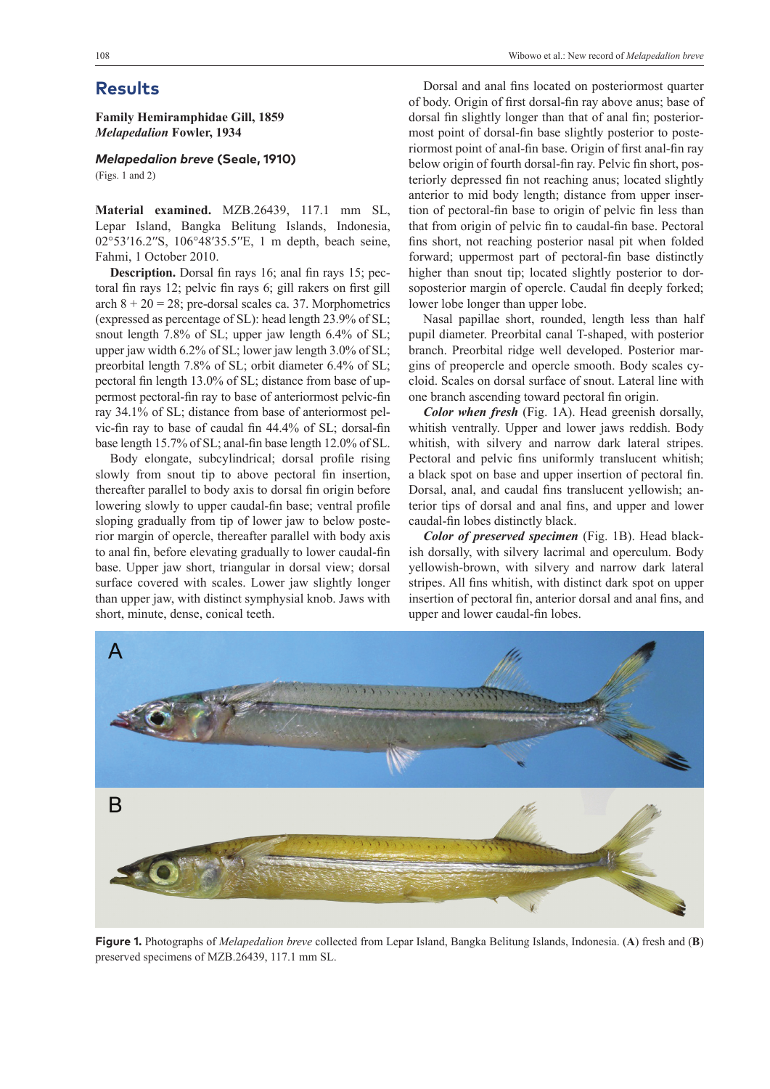**Family Hemiramphidae Gill, 1859** *Melapedalion* **Fowler, 1934**

*Melapedalion breve* **(Seale, 1910)**

(Figs. 1 and 2)

**Material examined.** MZB.26439, 117.1 mm SL, Lepar Island, Bangka Belitung Islands, Indonesia, 02°53′16.2′′S, 106°48′35.5′′E, 1 m depth, beach seine, Fahmi, 1 October 2010.

**Description.** Dorsal fin rays 16; anal fin rays 15; pectoral fin rays 12; pelvic fin rays 6; gill rakers on first gill arch  $8 + 20 = 28$ ; pre-dorsal scales ca. 37. Morphometrics (expressed as percentage of SL): head length 23.9% of SL; snout length 7.8% of SL; upper jaw length 6.4% of SL; upper jaw width 6.2% of SL; lower jaw length 3.0% of SL; preorbital length 7.8% of SL; orbit diameter 6.4% of SL; pectoral fin length 13.0% of SL; distance from base of uppermost pectoral-fin ray to base of anteriormost pelvic-fin ray 34.1% of SL; distance from base of anteriormost pelvic-fin ray to base of caudal fin 44.4% of SL; dorsal-fin base length 15.7% of SL; anal-fin base length 12.0% of SL.

Body elongate, subcylindrical; dorsal profile rising slowly from snout tip to above pectoral fin insertion, thereafter parallel to body axis to dorsal fin origin before lowering slowly to upper caudal-fin base; ventral profile sloping gradually from tip of lower jaw to below posterior margin of opercle, thereafter parallel with body axis to anal fin, before elevating gradually to lower caudal-fin base. Upper jaw short, triangular in dorsal view; dorsal surface covered with scales. Lower jaw slightly longer than upper jaw, with distinct symphysial knob. Jaws with short, minute, dense, conical teeth.

Dorsal and anal fins located on posteriormost quarter of body. Origin of first dorsal-fin ray above anus; base of dorsal fin slightly longer than that of anal fin; posteriormost point of dorsal-fin base slightly posterior to posteriormost point of anal-fin base. Origin of first anal-fin ray below origin of fourth dorsal-fin ray. Pelvic fin short, posteriorly depressed fin not reaching anus; located slightly anterior to mid body length; distance from upper insertion of pectoral-fin base to origin of pelvic fin less than that from origin of pelvic fin to caudal-fin base. Pectoral fins short, not reaching posterior nasal pit when folded forward; uppermost part of pectoral-fin base distinctly higher than snout tip; located slightly posterior to dorsoposterior margin of opercle. Caudal fin deeply forked; lower lobe longer than upper lobe.

Nasal papillae short, rounded, length less than half pupil diameter. Preorbital canal T-shaped, with posterior branch. Preorbital ridge well developed. Posterior margins of preopercle and opercle smooth. Body scales cycloid. Scales on dorsal surface of snout. Lateral line with one branch ascending toward pectoral fin origin.

*Color when fresh* (Fig. 1A). Head greenish dorsally, whitish ventrally. Upper and lower jaws reddish. Body whitish, with silvery and narrow dark lateral stripes. Pectoral and pelvic fins uniformly translucent whitish; a black spot on base and upper insertion of pectoral fin. Dorsal, anal, and caudal fins translucent yellowish; anterior tips of dorsal and anal fins, and upper and lower caudal-fin lobes distinctly black.

*Color of preserved specimen* (Fig. 1B). Head blackish dorsally, with silvery lacrimal and operculum. Body yellowish-brown, with silvery and narrow dark lateral stripes. All fins whitish, with distinct dark spot on upper insertion of pectoral fin, anterior dorsal and anal fins, and upper and lower caudal-fin lobes.



**Figure 1.** Photographs of *Melapedalion breve* collected from Lepar Island, Bangka Belitung Islands, Indonesia. (**A**) fresh and (**B**) preserved specimens of MZB.26439, 117.1 mm SL.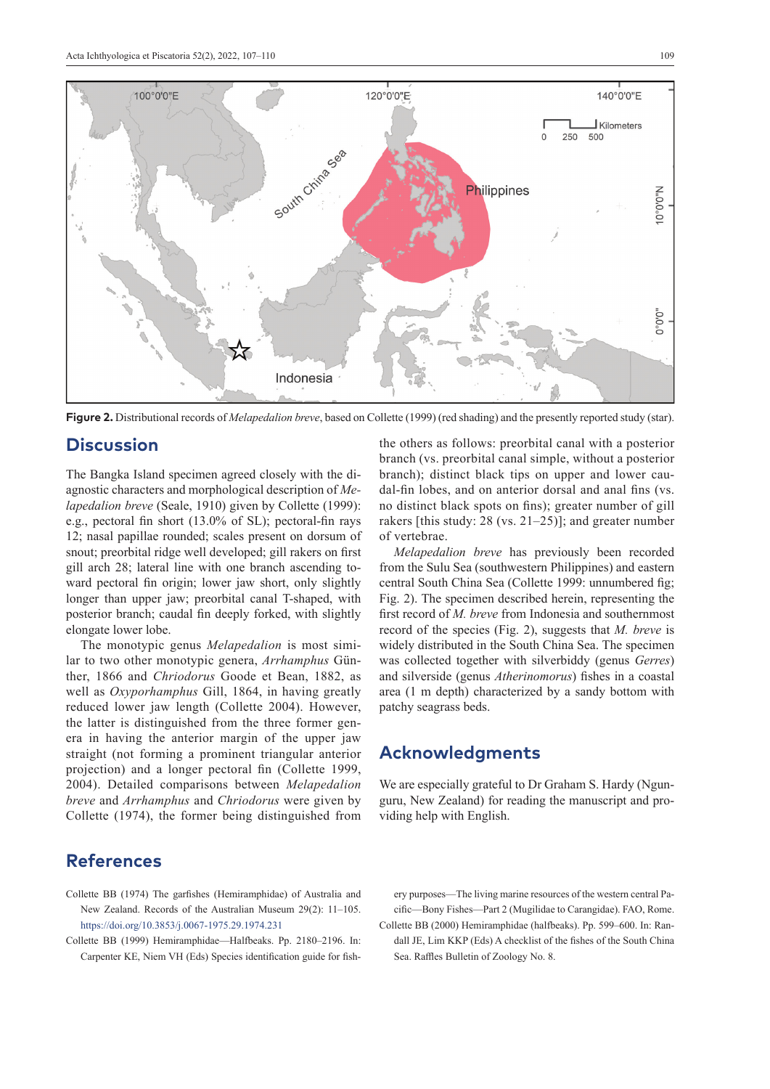

**Figure 2.** Distributional records of *Melapedalion breve*, based on Collette (1999) (red shading) and the presently reported study (star).

# **Discussion**

The Bangka Island specimen agreed closely with the diagnostic characters and morphological description of *Melapedalion breve* (Seale, 1910) given by Collette (1999): e.g., pectoral fin short (13.0% of SL); pectoral-fin rays 12; nasal papillae rounded; scales present on dorsum of snout; preorbital ridge well developed; gill rakers on first gill arch 28; lateral line with one branch ascending toward pectoral fin origin; lower jaw short, only slightly longer than upper jaw; preorbital canal T-shaped, with posterior branch; caudal fin deeply forked, with slightly elongate lower lobe.

The monotypic genus *Melapedalion* is most similar to two other monotypic genera, *Arrhamphus* Günther, 1866 and *Chriodorus* Goode et Bean, 1882, as well as *Oxyporhamphus* Gill, 1864, in having greatly reduced lower jaw length (Collette 2004). However, the latter is distinguished from the three former genera in having the anterior margin of the upper jaw straight (not forming a prominent triangular anterior projection) and a longer pectoral fin (Collette 1999, 2004). Detailed comparisons between *Melapedalion breve* and *Arrhamphus* and *Chriodorus* were given by Collette (1974), the former being distinguished from

# **References**

- Collette BB (1974) The garfishes (Hemiramphidae) of Australia and New Zealand. Records of the Australian Museum 29(2): 11–105. <https://doi.org/10.3853/j.0067-1975.29.1974.231>
- Collette BB (1999) Hemiramphidae—Halfbeaks. Pp. 2180–2196. In: Carpenter KE, Niem VH (Eds) Species identification guide for fish-

the others as follows: preorbital canal with a posterior branch (vs. preorbital canal simple, without a posterior branch); distinct black tips on upper and lower caudal-fin lobes, and on anterior dorsal and anal fins (vs. no distinct black spots on fins); greater number of gill rakers [this study: 28 (vs. 21–25)]; and greater number of vertebrae.

*Melapedalion breve* has previously been recorded from the Sulu Sea (southwestern Philippines) and eastern central South China Sea (Collette 1999: unnumbered fig; Fig. 2). The specimen described herein, representing the first record of *M. breve* from Indonesia and southernmost record of the species (Fig. 2), suggests that *M. breve* is widely distributed in the South China Sea. The specimen was collected together with silverbiddy (genus *Gerres*) and silverside (genus *Atherinomorus*) fishes in a coastal area (1 m depth) characterized by a sandy bottom with patchy seagrass beds.

# **Acknowledgments**

We are especially grateful to Dr Graham S. Hardy (Ngunguru, New Zealand) for reading the manuscript and providing help with English.

ery purposes—The living marine resources of the western central Pacific—Bony Fishes—Part 2 (Mugilidae to Carangidae). FAO, Rome.

Collette BB (2000) Hemiramphidae (halfbeaks). Pp. 599–600. In: Randall JE, Lim KKP (Eds) A checklist of the fishes of the South China Sea. Raffles Bulletin of Zoology No. 8.